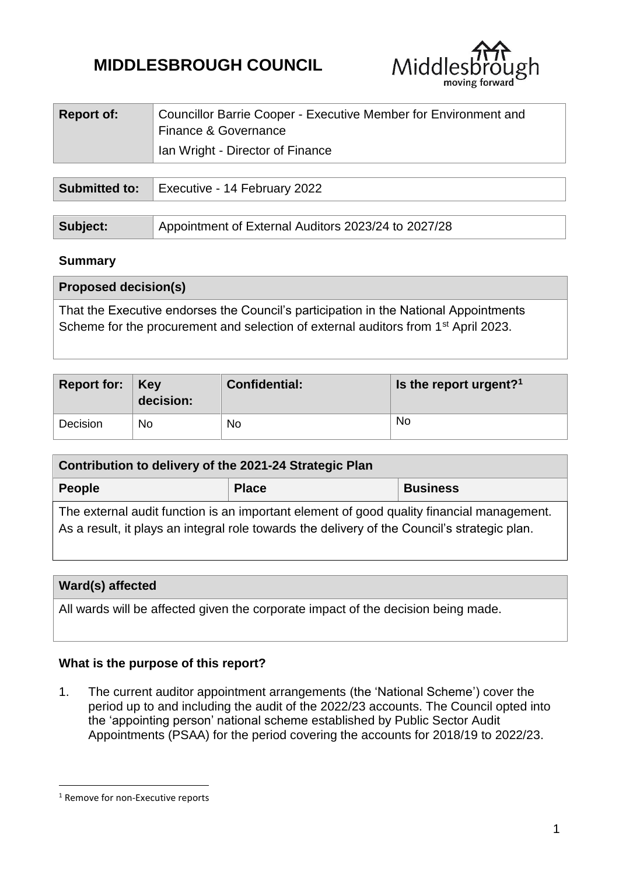# **MIDDLESBROUGH COUNCIL**



| <b>Report of:</b> | Councillor Barrie Cooper - Executive Member for Environment and<br>Finance & Governance |
|-------------------|-----------------------------------------------------------------------------------------|
|                   | Ian Wright - Director of Finance                                                        |
|                   |                                                                                         |

|          | <b>Submitted to:</b>   Executive - 14 February 2022 |  |  |
|----------|-----------------------------------------------------|--|--|
|          |                                                     |  |  |
| Subject: | Appointment of External Auditors 2023/24 to 2027/28 |  |  |

### **Summary**

| <b>Proposed decision(s)</b>                                                                                                                                                            |
|----------------------------------------------------------------------------------------------------------------------------------------------------------------------------------------|
| That the Executive endorses the Council's participation in the National Appointments<br>Scheme for the procurement and selection of external auditors from 1 <sup>st</sup> April 2023. |

| Report for: $\vert$ Key | decision: | <b>Confidential:</b> | Is the report urgent? <sup>1</sup> |
|-------------------------|-----------|----------------------|------------------------------------|
| Decision                | No        | No                   | No                                 |

| Contribution to delivery of the 2021-24 Strategic Plan                                    |              |                 |  |  |  |
|-------------------------------------------------------------------------------------------|--------------|-----------------|--|--|--|
| People                                                                                    | <b>Place</b> | <b>Business</b> |  |  |  |
| The external audit function is an important element of good quality financial management. |              |                 |  |  |  |

As a result, it plays an integral role towards the delivery of the Council's strategic plan.

### **Ward(s) affected**

All wards will be affected given the corporate impact of the decision being made.

### **What is the purpose of this report?**

1. The current auditor appointment arrangements (the 'National Scheme') cover the period up to and including the audit of the 2022/23 accounts. The Council opted into the 'appointing person' national scheme established by Public Sector Audit Appointments (PSAA) for the period covering the accounts for 2018/19 to 2022/23.

1

<sup>&</sup>lt;sup>1</sup> Remove for non-Executive reports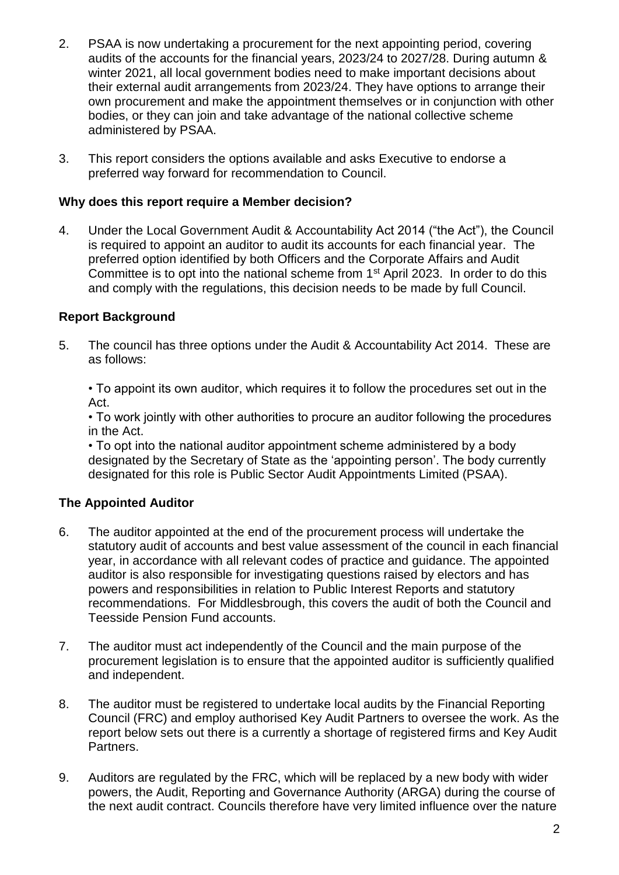- 2. PSAA is now undertaking a procurement for the next appointing period, covering audits of the accounts for the financial years, 2023/24 to 2027/28. During autumn & winter 2021, all local government bodies need to make important decisions about their external audit arrangements from 2023/24. They have options to arrange their own procurement and make the appointment themselves or in conjunction with other bodies, or they can join and take advantage of the national collective scheme administered by PSAA.
- 3. This report considers the options available and asks Executive to endorse a preferred way forward for recommendation to Council.

### **Why does this report require a Member decision?**

4. Under the Local Government Audit & Accountability Act 2014 ("the Act"), the Council is required to appoint an auditor to audit its accounts for each financial year. The preferred option identified by both Officers and the Corporate Affairs and Audit Committee is to opt into the national scheme from 1st April 2023. In order to do this and comply with the regulations, this decision needs to be made by full Council.

### **Report Background**

5. The council has three options under the Audit & Accountability Act 2014. These are as follows:

• To appoint its own auditor, which requires it to follow the procedures set out in the Act.

• To work jointly with other authorities to procure an auditor following the procedures in the Act.

• To opt into the national auditor appointment scheme administered by a body designated by the Secretary of State as the 'appointing person'. The body currently designated for this role is Public Sector Audit Appointments Limited (PSAA).

# **The Appointed Auditor**

- 6. The auditor appointed at the end of the procurement process will undertake the statutory audit of accounts and best value assessment of the council in each financial year, in accordance with all relevant codes of practice and guidance. The appointed auditor is also responsible for investigating questions raised by electors and has powers and responsibilities in relation to Public Interest Reports and statutory recommendations. For Middlesbrough, this covers the audit of both the Council and Teesside Pension Fund accounts.
- 7. The auditor must act independently of the Council and the main purpose of the procurement legislation is to ensure that the appointed auditor is sufficiently qualified and independent.
- 8. The auditor must be registered to undertake local audits by the Financial Reporting Council (FRC) and employ authorised Key Audit Partners to oversee the work. As the report below sets out there is a currently a shortage of registered firms and Key Audit Partners.
- 9. Auditors are regulated by the FRC, which will be replaced by a new body with wider powers, the Audit, Reporting and Governance Authority (ARGA) during the course of the next audit contract. Councils therefore have very limited influence over the nature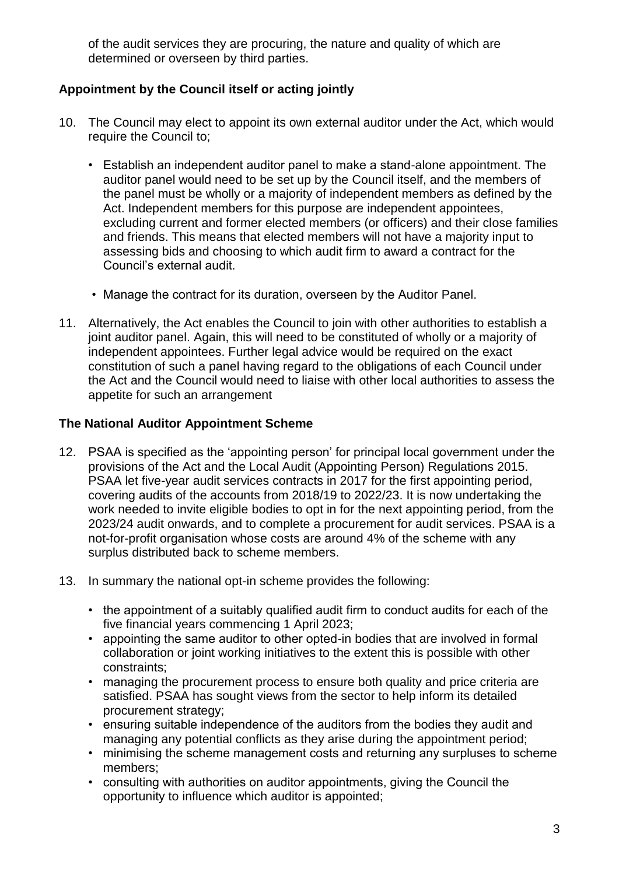of the audit services they are procuring, the nature and quality of which are determined or overseen by third parties.

# **Appointment by the Council itself or acting jointly**

- 10. The Council may elect to appoint its own external auditor under the Act, which would require the Council to;
	- Establish an independent auditor panel to make a stand-alone appointment. The auditor panel would need to be set up by the Council itself, and the members of the panel must be wholly or a majority of independent members as defined by the Act. Independent members for this purpose are independent appointees, excluding current and former elected members (or officers) and their close families and friends. This means that elected members will not have a majority input to assessing bids and choosing to which audit firm to award a contract for the Council's external audit.
	- Manage the contract for its duration, overseen by the Auditor Panel.
- 11. Alternatively, the Act enables the Council to join with other authorities to establish a joint auditor panel. Again, this will need to be constituted of wholly or a majority of independent appointees. Further legal advice would be required on the exact constitution of such a panel having regard to the obligations of each Council under the Act and the Council would need to liaise with other local authorities to assess the appetite for such an arrangement

### **The National Auditor Appointment Scheme**

- 12. PSAA is specified as the 'appointing person' for principal local government under the provisions of the Act and the Local Audit (Appointing Person) Regulations 2015. PSAA let five-year audit services contracts in 2017 for the first appointing period, covering audits of the accounts from 2018/19 to 2022/23. It is now undertaking the work needed to invite eligible bodies to opt in for the next appointing period, from the 2023/24 audit onwards, and to complete a procurement for audit services. PSAA is a not-for-profit organisation whose costs are around 4% of the scheme with any surplus distributed back to scheme members.
- 13. In summary the national opt-in scheme provides the following:
	- the appointment of a suitably qualified audit firm to conduct audits for each of the five financial years commencing 1 April 2023;
	- appointing the same auditor to other opted-in bodies that are involved in formal collaboration or joint working initiatives to the extent this is possible with other constraints;
	- managing the procurement process to ensure both quality and price criteria are satisfied. PSAA has sought views from the sector to help inform its detailed procurement strategy;
	- ensuring suitable independence of the auditors from the bodies they audit and managing any potential conflicts as they arise during the appointment period;
	- minimising the scheme management costs and returning any surpluses to scheme members;
	- consulting with authorities on auditor appointments, giving the Council the opportunity to influence which auditor is appointed;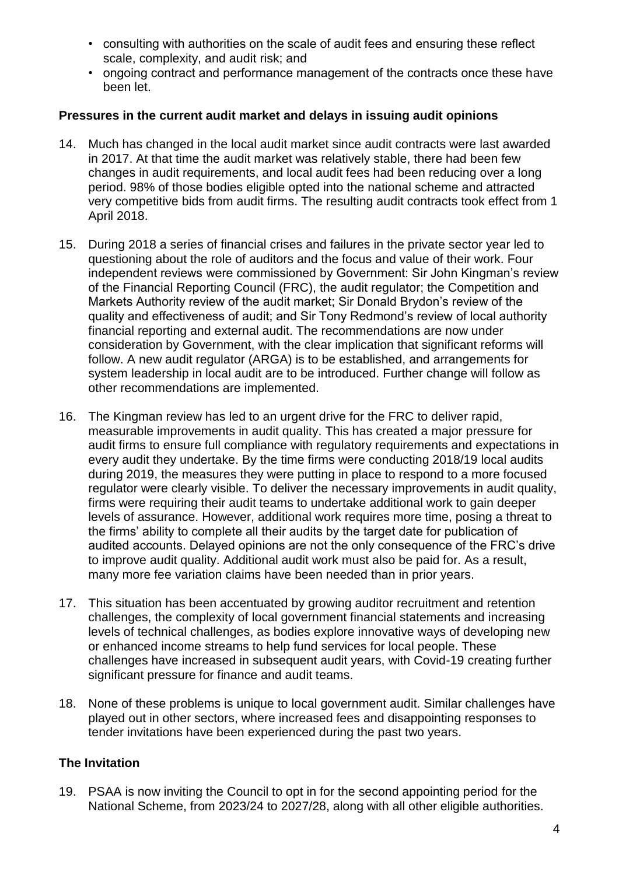- consulting with authorities on the scale of audit fees and ensuring these reflect scale, complexity, and audit risk; and
- ongoing contract and performance management of the contracts once these have been let.

### **Pressures in the current audit market and delays in issuing audit opinions**

- 14. Much has changed in the local audit market since audit contracts were last awarded in 2017. At that time the audit market was relatively stable, there had been few changes in audit requirements, and local audit fees had been reducing over a long period. 98% of those bodies eligible opted into the national scheme and attracted very competitive bids from audit firms. The resulting audit contracts took effect from 1 April 2018.
- 15. During 2018 a series of financial crises and failures in the private sector year led to questioning about the role of auditors and the focus and value of their work. Four independent reviews were commissioned by Government: Sir John Kingman's review of the Financial Reporting Council (FRC), the audit regulator; the Competition and Markets Authority review of the audit market; Sir Donald Brydon's review of the quality and effectiveness of audit; and Sir Tony Redmond's review of local authority financial reporting and external audit. The recommendations are now under consideration by Government, with the clear implication that significant reforms will follow. A new audit regulator (ARGA) is to be established, and arrangements for system leadership in local audit are to be introduced. Further change will follow as other recommendations are implemented.
- 16. The Kingman review has led to an urgent drive for the FRC to deliver rapid, measurable improvements in audit quality. This has created a major pressure for audit firms to ensure full compliance with regulatory requirements and expectations in every audit they undertake. By the time firms were conducting 2018/19 local audits during 2019, the measures they were putting in place to respond to a more focused regulator were clearly visible. To deliver the necessary improvements in audit quality, firms were requiring their audit teams to undertake additional work to gain deeper levels of assurance. However, additional work requires more time, posing a threat to the firms' ability to complete all their audits by the target date for publication of audited accounts. Delayed opinions are not the only consequence of the FRC's drive to improve audit quality. Additional audit work must also be paid for. As a result, many more fee variation claims have been needed than in prior years.
- 17. This situation has been accentuated by growing auditor recruitment and retention challenges, the complexity of local government financial statements and increasing levels of technical challenges, as bodies explore innovative ways of developing new or enhanced income streams to help fund services for local people. These challenges have increased in subsequent audit years, with Covid-19 creating further significant pressure for finance and audit teams.
- 18. None of these problems is unique to local government audit. Similar challenges have played out in other sectors, where increased fees and disappointing responses to tender invitations have been experienced during the past two years.

# **The Invitation**

19. PSAA is now inviting the Council to opt in for the second appointing period for the National Scheme, from 2023/24 to 2027/28, along with all other eligible authorities.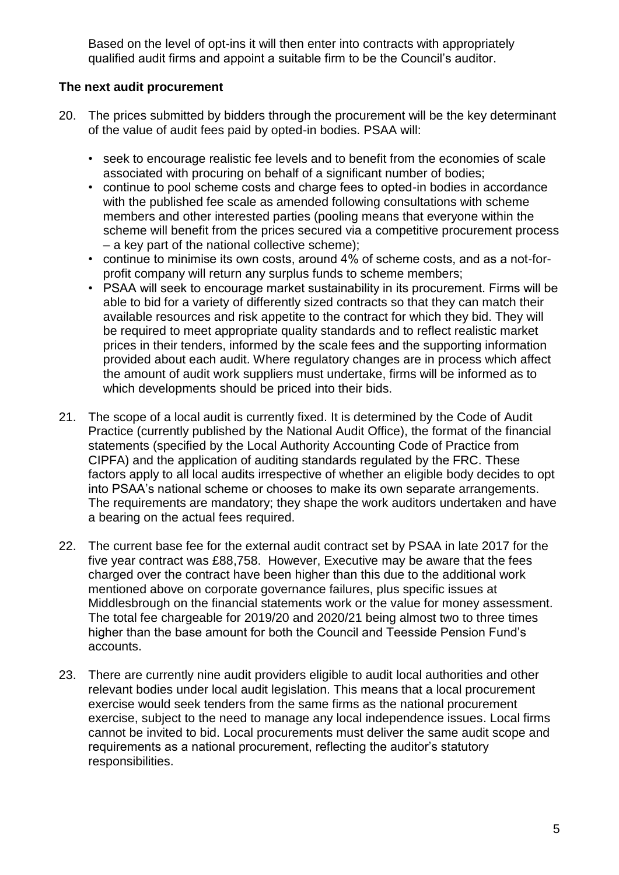Based on the level of opt-ins it will then enter into contracts with appropriately qualified audit firms and appoint a suitable firm to be the Council's auditor.

# **The next audit procurement**

- 20. The prices submitted by bidders through the procurement will be the key determinant of the value of audit fees paid by opted-in bodies. PSAA will:
	- seek to encourage realistic fee levels and to benefit from the economies of scale associated with procuring on behalf of a significant number of bodies;
	- continue to pool scheme costs and charge fees to opted-in bodies in accordance with the published fee scale as amended following consultations with scheme members and other interested parties (pooling means that everyone within the scheme will benefit from the prices secured via a competitive procurement process – a key part of the national collective scheme);
	- continue to minimise its own costs, around 4% of scheme costs, and as a not-forprofit company will return any surplus funds to scheme members;
	- PSAA will seek to encourage market sustainability in its procurement. Firms will be able to bid for a variety of differently sized contracts so that they can match their available resources and risk appetite to the contract for which they bid. They will be required to meet appropriate quality standards and to reflect realistic market prices in their tenders, informed by the scale fees and the supporting information provided about each audit. Where regulatory changes are in process which affect the amount of audit work suppliers must undertake, firms will be informed as to which developments should be priced into their bids.
- 21. The scope of a local audit is currently fixed. It is determined by the Code of Audit Practice (currently published by the National Audit Office), the format of the financial statements (specified by the Local Authority Accounting Code of Practice from CIPFA) and the application of auditing standards regulated by the FRC. These factors apply to all local audits irrespective of whether an eligible body decides to opt into PSAA's national scheme or chooses to make its own separate arrangements. The requirements are mandatory; they shape the work auditors undertaken and have a bearing on the actual fees required.
- 22. The current base fee for the external audit contract set by PSAA in late 2017 for the five year contract was £88,758. However, Executive may be aware that the fees charged over the contract have been higher than this due to the additional work mentioned above on corporate governance failures, plus specific issues at Middlesbrough on the financial statements work or the value for money assessment. The total fee chargeable for 2019/20 and 2020/21 being almost two to three times higher than the base amount for both the Council and Teesside Pension Fund's accounts.
- 23. There are currently nine audit providers eligible to audit local authorities and other relevant bodies under local audit legislation. This means that a local procurement exercise would seek tenders from the same firms as the national procurement exercise, subject to the need to manage any local independence issues. Local firms cannot be invited to bid. Local procurements must deliver the same audit scope and requirements as a national procurement, reflecting the auditor's statutory responsibilities.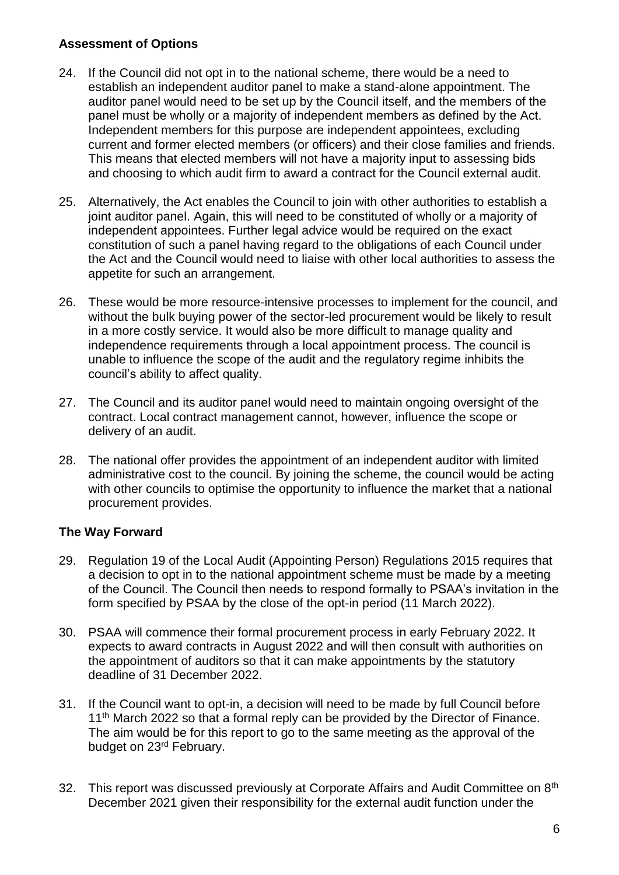# **Assessment of Options**

- 24. If the Council did not opt in to the national scheme, there would be a need to establish an independent auditor panel to make a stand-alone appointment. The auditor panel would need to be set up by the Council itself, and the members of the panel must be wholly or a majority of independent members as defined by the Act. Independent members for this purpose are independent appointees, excluding current and former elected members (or officers) and their close families and friends. This means that elected members will not have a majority input to assessing bids and choosing to which audit firm to award a contract for the Council external audit.
- 25. Alternatively, the Act enables the Council to join with other authorities to establish a joint auditor panel. Again, this will need to be constituted of wholly or a majority of independent appointees. Further legal advice would be required on the exact constitution of such a panel having regard to the obligations of each Council under the Act and the Council would need to liaise with other local authorities to assess the appetite for such an arrangement.
- 26. These would be more resource-intensive processes to implement for the council, and without the bulk buying power of the sector-led procurement would be likely to result in a more costly service. It would also be more difficult to manage quality and independence requirements through a local appointment process. The council is unable to influence the scope of the audit and the regulatory regime inhibits the council's ability to affect quality.
- 27. The Council and its auditor panel would need to maintain ongoing oversight of the contract. Local contract management cannot, however, influence the scope or delivery of an audit.
- 28. The national offer provides the appointment of an independent auditor with limited administrative cost to the council. By joining the scheme, the council would be acting with other councils to optimise the opportunity to influence the market that a national procurement provides.

# **The Way Forward**

- 29. Regulation 19 of the Local Audit (Appointing Person) Regulations 2015 requires that a decision to opt in to the national appointment scheme must be made by a meeting of the Council. The Council then needs to respond formally to PSAA's invitation in the form specified by PSAA by the close of the opt-in period (11 March 2022).
- 30. PSAA will commence their formal procurement process in early February 2022. It expects to award contracts in August 2022 and will then consult with authorities on the appointment of auditors so that it can make appointments by the statutory deadline of 31 December 2022.
- 31. If the Council want to opt-in, a decision will need to be made by full Council before 11<sup>th</sup> March 2022 so that a formal reply can be provided by the Director of Finance. The aim would be for this report to go to the same meeting as the approval of the budget on 23<sup>rd</sup> February.
- 32. This report was discussed previously at Corporate Affairs and Audit Committee on 8<sup>th</sup> December 2021 given their responsibility for the external audit function under the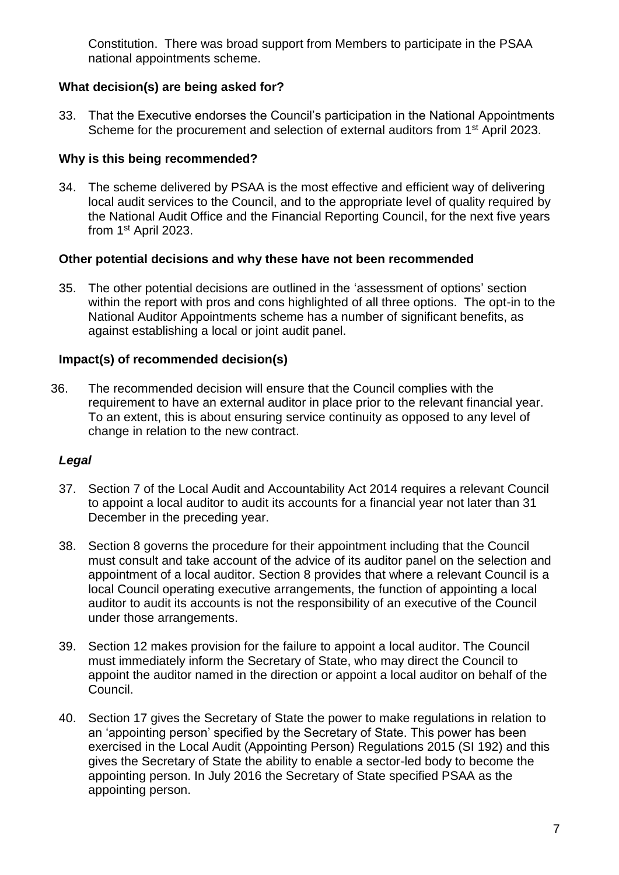Constitution. There was broad support from Members to participate in the PSAA national appointments scheme.

# **What decision(s) are being asked for?**

33. That the Executive endorses the Council's participation in the National Appointments Scheme for the procurement and selection of external auditors from 1<sup>st</sup> April 2023.

# **Why is this being recommended?**

34. The scheme delivered by PSAA is the most effective and efficient way of delivering local audit services to the Council, and to the appropriate level of quality required by the National Audit Office and the Financial Reporting Council, for the next five years from 1st April 2023.

# **Other potential decisions and why these have not been recommended**

35. The other potential decisions are outlined in the 'assessment of options' section within the report with pros and cons highlighted of all three options. The opt-in to the National Auditor Appointments scheme has a number of significant benefits, as against establishing a local or joint audit panel.

# **Impact(s) of recommended decision(s)**

36. The recommended decision will ensure that the Council complies with the requirement to have an external auditor in place prior to the relevant financial year. To an extent, this is about ensuring service continuity as opposed to any level of change in relation to the new contract.

# *Legal*

- 37. Section 7 of the Local Audit and Accountability Act 2014 requires a relevant Council to appoint a local auditor to audit its accounts for a financial year not later than 31 December in the preceding year.
- 38. Section 8 governs the procedure for their appointment including that the Council must consult and take account of the advice of its auditor panel on the selection and appointment of a local auditor. Section 8 provides that where a relevant Council is a local Council operating executive arrangements, the function of appointing a local auditor to audit its accounts is not the responsibility of an executive of the Council under those arrangements.
- 39. Section 12 makes provision for the failure to appoint a local auditor. The Council must immediately inform the Secretary of State, who may direct the Council to appoint the auditor named in the direction or appoint a local auditor on behalf of the Council.
- 40. Section 17 gives the Secretary of State the power to make regulations in relation to an 'appointing person' specified by the Secretary of State. This power has been exercised in the Local Audit (Appointing Person) Regulations 2015 (SI 192) and this gives the Secretary of State the ability to enable a sector-led body to become the appointing person. In July 2016 the Secretary of State specified PSAA as the appointing person.